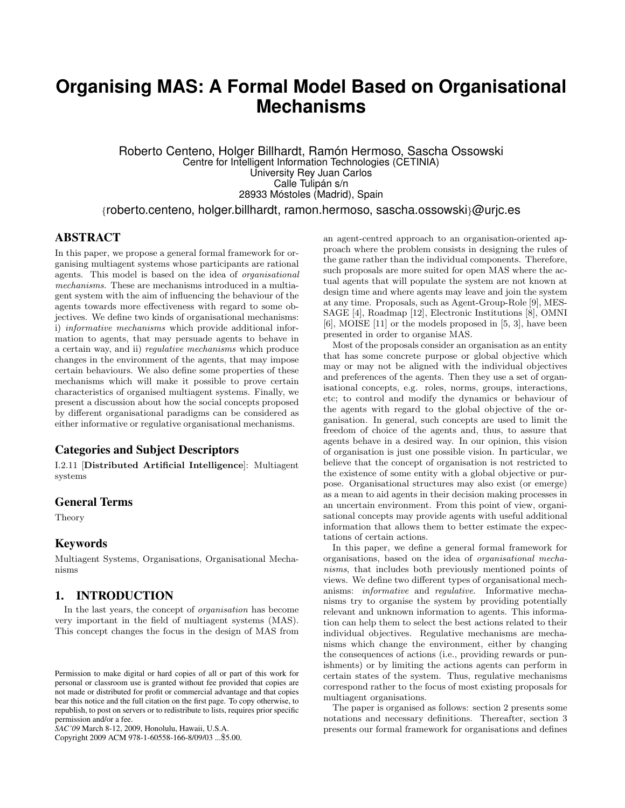# **Organising MAS: A Formal Model Based on Organisational Mechanisms**

Roberto Centeno, Holger Billhardt, Ramón Hermoso, Sascha Ossowski Centre for Intelligent Information Technologies (CETINIA) University Rey Juan Carlos Calle Tulipán s/n 28933 Móstoles (Madrid), Spain

{roberto.centeno, holger.billhardt, ramon.hermoso, sascha.ossowski}@urjc.es

## ABSTRACT

In this paper, we propose a general formal framework for organising multiagent systems whose participants are rational agents. This model is based on the idea of organisational mechanisms. These are mechanisms introduced in a multiagent system with the aim of influencing the behaviour of the agents towards more effectiveness with regard to some objectives. We define two kinds of organisational mechanisms: i) informative mechanisms which provide additional information to agents, that may persuade agents to behave in a certain way, and ii) regulative mechanisms which produce changes in the environment of the agents, that may impose certain behaviours. We also define some properties of these mechanisms which will make it possible to prove certain characteristics of organised multiagent systems. Finally, we present a discussion about how the social concepts proposed by different organisational paradigms can be considered as either informative or regulative organisational mechanisms.

## Categories and Subject Descriptors

I.2.11 [Distributed Artificial Intelligence]: Multiagent systems

## General Terms

Theory

### Keywords

Multiagent Systems, Organisations, Organisational Mechanisms

## 1. INTRODUCTION

In the last years, the concept of organisation has become very important in the field of multiagent systems (MAS). This concept changes the focus in the design of MAS from

*SAC'09* March 8-12, 2009, Honolulu, Hawaii, U.S.A.

Copyright 2009 ACM 978-1-60558-166-8/09/03 ...\$5.00.

an agent-centred approach to an organisation-oriented approach where the problem consists in designing the rules of the game rather than the individual components. Therefore, such proposals are more suited for open MAS where the actual agents that will populate the system are not known at design time and where agents may leave and join the system at any time. Proposals, such as Agent-Group-Role [9], MES-SAGE [4], Roadmap [12], Electronic Institutions [8], OMNI [6], MOISE [11] or the models proposed in [5, 3], have been presented in order to organise MAS.

Most of the proposals consider an organisation as an entity that has some concrete purpose or global objective which may or may not be aligned with the individual objectives and preferences of the agents. Then they use a set of organisational concepts, e.g. roles, norms, groups, interactions, etc; to control and modify the dynamics or behaviour of the agents with regard to the global objective of the organisation. In general, such concepts are used to limit the freedom of choice of the agents and, thus, to assure that agents behave in a desired way. In our opinion, this vision of organisation is just one possible vision. In particular, we believe that the concept of organisation is not restricted to the existence of some entity with a global objective or purpose. Organisational structures may also exist (or emerge) as a mean to aid agents in their decision making processes in an uncertain environment. From this point of view, organisational concepts may provide agents with useful additional information that allows them to better estimate the expectations of certain actions.

In this paper, we define a general formal framework for organisations, based on the idea of organisational mechanisms, that includes both previously mentioned points of views. We define two different types of organisational mechanisms: informative and regulative. Informative mechanisms try to organise the system by providing potentially relevant and unknown information to agents. This information can help them to select the best actions related to their individual objectives. Regulative mechanisms are mechanisms which change the environment, either by changing the consequences of actions (i.e., providing rewards or punishments) or by limiting the actions agents can perform in certain states of the system. Thus, regulative mechanisms correspond rather to the focus of most existing proposals for multiagent organisations.

The paper is organised as follows: section 2 presents some notations and necessary definitions. Thereafter, section 3 presents our formal framework for organisations and defines

Permission to make digital or hard copies of all or part of this work for personal or classroom use is granted without fee provided that copies are not made or distributed for profit or commercial advantage and that copies bear this notice and the full citation on the first page. To copy otherwise, to republish, to post on servers or to redistribute to lists, requires prior specific permission and/or a fee.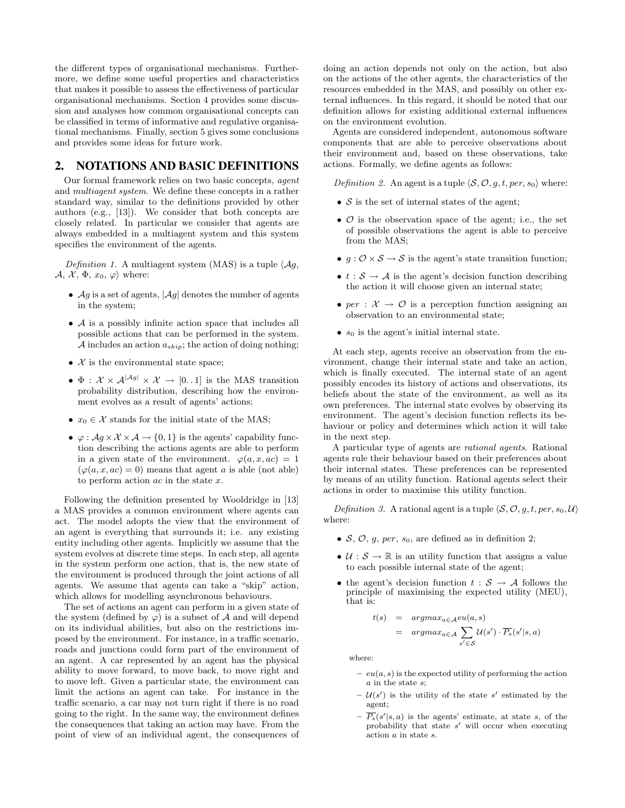the different types of organisational mechanisms. Furthermore, we define some useful properties and characteristics that makes it possible to assess the effectiveness of particular organisational mechanisms. Section 4 provides some discussion and analyses how common organisational concepts can be classified in terms of informative and regulative organisational mechanisms. Finally, section 5 gives some conclusions and provides some ideas for future work.

## 2. NOTATIONS AND BASIC DEFINITIONS

Our formal framework relies on two basic concepts, agent and multiagent system. We define these concepts in a rather standard way, similar to the definitions provided by other authors (e.g., [13]). We consider that both concepts are closely related. In particular we consider that agents are always embedded in a multiagent system and this system specifies the environment of the agents.

Definition 1. A multiagent system (MAS) is a tuple  $\mathcal{A}_q$ ,  $\mathcal{A}, \mathcal{X}, \Phi, x_0, \varphi$  where:

- $Ag$  is a set of agents,  $|\mathcal{A}g|$  denotes the number of agents in the system;
- A is a possibly infinite action space that includes all possible actions that can be performed in the system. A includes an action  $a_{skip}$ ; the action of doing nothing;
- $X$  is the environmental state space;
- $\Phi: \mathcal{X} \times \mathcal{A}^{|\mathcal{A}g|} \times \mathcal{X} \to [0, 1]$  is the MAS transition probability distribution, describing how the environment evolves as a result of agents' actions;
- $x_0 \in \mathcal{X}$  stands for the initial state of the MAS;
- $\bullet \ \varphi : \mathcal{A}g \times \mathcal{X} \times \mathcal{A} \rightarrow \{0,1\}$  is the agents' capability function describing the actions agents are able to perform in a given state of the environment.  $\varphi(a, x, ac) = 1$  $(\varphi(a, x, ac) = 0)$  means that agent a is able (not able) to perform action ac in the state x.

Following the definition presented by Wooldridge in [13] a MAS provides a common environment where agents can act. The model adopts the view that the environment of an agent is everything that surrounds it; i.e. any existing entity including other agents. Implicitly we assume that the system evolves at discrete time steps. In each step, all agents in the system perform one action, that is, the new state of the environment is produced through the joint actions of all agents. We assume that agents can take a "skip" action, which allows for modelling asynchronous behaviours.

The set of actions an agent can perform in a given state of the system (defined by  $\varphi$ ) is a subset of A and will depend on its individual abilities, but also on the restrictions imposed by the environment. For instance, in a traffic scenario, roads and junctions could form part of the environment of an agent. A car represented by an agent has the physical ability to move forward, to move back, to move right and to move left. Given a particular state, the environment can limit the actions an agent can take. For instance in the traffic scenario, a car may not turn right if there is no road going to the right. In the same way, the environment defines the consequences that taking an action may have. From the point of view of an individual agent, the consequences of doing an action depends not only on the action, but also on the actions of the other agents, the characteristics of the resources embedded in the MAS, and possibly on other external influences. In this regard, it should be noted that our definition allows for existing additional external influences on the environment evolution.

Agents are considered independent, autonomous software components that are able to perceive observations about their environment and, based on these observations, take actions. Formally, we define agents as follows:

Definition 2. An agent is a tuple  $\langle S, O, g, t, per, s_0 \rangle$  where:

- $S$  is the set of internal states of the agent;
- $\bullet$   $\circ$  is the observation space of the agent; i.e., the set of possible observations the agent is able to perceive from the MAS;
- $q: \mathcal{O} \times \mathcal{S} \rightarrow \mathcal{S}$  is the agent's state transition function;
- $t : \mathcal{S} \to \mathcal{A}$  is the agent's decision function describing the action it will choose given an internal state;
- per :  $\mathcal{X} \rightarrow \mathcal{O}$  is a perception function assigning an observation to an environmental state;
- $s_0$  is the agent's initial internal state.

At each step, agents receive an observation from the environment, change their internal state and take an action, which is finally executed. The internal state of an agent possibly encodes its history of actions and observations, its beliefs about the state of the environment, as well as its own preferences. The internal state evolves by observing its environment. The agent's decision function reflects its behaviour or policy and determines which action it will take in the next step.

A particular type of agents are rational agents. Rational agents rule their behaviour based on their preferences about their internal states. These preferences can be represented by means of an utility function. Rational agents select their actions in order to maximise this utility function.

Definition 3. A rational agent is a tuple  $\langle S, O, g, t, per, s_0, U \rangle$ where:

- S, O, g, per,  $s_0$ , are defined as in definition 2;
- $\mathcal{U}: \mathcal{S} \to \mathbb{R}$  is an utility function that assigns a value to each possible internal state of the agent;
- the agent's decision function  $t : \mathcal{S} \to \mathcal{A}$  follows the principle of maximising the expected utility (MEU), that is:

$$
t(s) = argmax_{a \in \mathcal{A}} eu(a, s)
$$
  
= 
$$
argmax_{a \in \mathcal{A}} \sum_{s' \in \mathcal{S}} \mathcal{U}(s') \cdot \overline{P_s}(s'|s, a)
$$

where:

- $-eu(a, s)$  is the expected utility of performing the action a in the state s;
- $\mathcal{U}(s')$  is the utility of the state s' estimated by the agent;
- $-\overline{P_s}(s'|s,a)$  is the agents' estimate, at state s, of the probability that state  $s'$  will occur when executing action a in state s.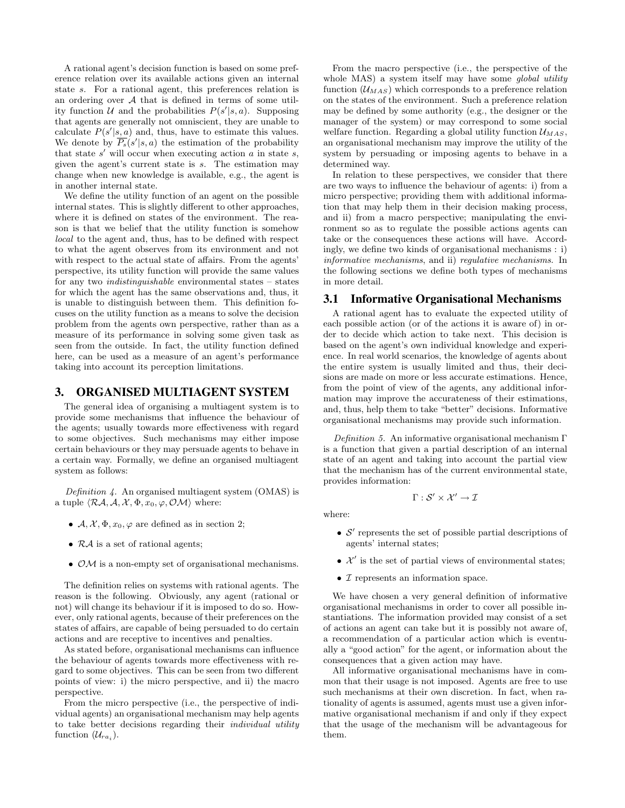A rational agent's decision function is based on some preference relation over its available actions given an internal state s. For a rational agent, this preferences relation is an ordering over  $A$  that is defined in terms of some utility function U and the probabilities  $P(s'|s, a)$ . Supposing that agents are generally not omniscient, they are unable to calculate  $P(s'|s, a)$  and, thus, have to estimate this values. We denote by  $\overline{P_s}(s'|s,a)$  the estimation of the probability that state  $s'$  will occur when executing action  $a$  in state  $s$ , given the agent's current state is s. The estimation may change when new knowledge is available, e.g., the agent is in another internal state.

We define the utility function of an agent on the possible internal states. This is slightly different to other approaches, where it is defined on states of the environment. The reason is that we belief that the utility function is somehow local to the agent and, thus, has to be defined with respect to what the agent observes from its environment and not with respect to the actual state of affairs. From the agents' perspective, its utility function will provide the same values for any two indistinguishable environmental states – states for which the agent has the same observations and, thus, it is unable to distinguish between them. This definition focuses on the utility function as a means to solve the decision problem from the agents own perspective, rather than as a measure of its performance in solving some given task as seen from the outside. In fact, the utility function defined here, can be used as a measure of an agent's performance taking into account its perception limitations.

#### 3. ORGANISED MULTIAGENT SYSTEM

The general idea of organising a multiagent system is to provide some mechanisms that influence the behaviour of the agents; usually towards more effectiveness with regard to some objectives. Such mechanisms may either impose certain behaviours or they may persuade agents to behave in a certain way. Formally, we define an organised multiagent system as follows:

Definition 4. An organised multiagent system  $(OMAS)$  is a tuple  $\langle RA, A, X, \Phi, x_0, \varphi, OM \rangle$  where:

- $\mathcal{A}, \mathcal{X}, \Phi, x_0, \varphi$  are defined as in section 2;
- $RA$  is a set of rational agents;
- OM is a non-empty set of organisational mechanisms.

The definition relies on systems with rational agents. The reason is the following. Obviously, any agent (rational or not) will change its behaviour if it is imposed to do so. However, only rational agents, because of their preferences on the states of affairs, are capable of being persuaded to do certain actions and are receptive to incentives and penalties.

As stated before, organisational mechanisms can influence the behaviour of agents towards more effectiveness with regard to some objectives. This can be seen from two different points of view: i) the micro perspective, and ii) the macro perspective.

From the micro perspective (i.e., the perspective of individual agents) an organisational mechanism may help agents to take better decisions regarding their individual utility function  $(\mathcal{U}_{ra_i})$ .

From the macro perspective (i.e., the perspective of the whole MAS) a system itself may have some global utility function  $(U_{MAS})$  which corresponds to a preference relation on the states of the environment. Such a preference relation may be defined by some authority (e.g., the designer or the manager of the system) or may correspond to some social welfare function. Regarding a global utility function  $\mathcal{U}_{MAS}$ , an organisational mechanism may improve the utility of the system by persuading or imposing agents to behave in a determined way.

In relation to these perspectives, we consider that there are two ways to influence the behaviour of agents: i) from a micro perspective; providing them with additional information that may help them in their decision making process, and ii) from a macro perspective; manipulating the environment so as to regulate the possible actions agents can take or the consequences these actions will have. Accordingly, we define two kinds of organisational mechanisms : i) informative mechanisms, and ii) regulative mechanisms. In the following sections we define both types of mechanisms in more detail.

#### 3.1 Informative Organisational Mechanisms

A rational agent has to evaluate the expected utility of each possible action (or of the actions it is aware of) in order to decide which action to take next. This decision is based on the agent's own individual knowledge and experience. In real world scenarios, the knowledge of agents about the entire system is usually limited and thus, their decisions are made on more or less accurate estimations. Hence, from the point of view of the agents, any additional information may improve the accurateness of their estimations, and, thus, help them to take "better" decisions. Informative organisational mechanisms may provide such information.

Definition 5. An informative organisational mechanism Γ is a function that given a partial description of an internal state of an agent and taking into account the partial view that the mechanism has of the current environmental state, provides information:

$$
\Gamma: \mathcal{S}' \times \mathcal{X}' \to \mathcal{I}
$$

where:

- $\bullet$   $\mathcal{S}'$  represents the set of possible partial descriptions of agents' internal states;
- $\mathcal{X}'$  is the set of partial views of environmental states;
- $\mathcal I$  represents an information space.

We have chosen a very general definition of informative organisational mechanisms in order to cover all possible instantiations. The information provided may consist of a set of actions an agent can take but it is possibly not aware of, a recommendation of a particular action which is eventually a "good action" for the agent, or information about the consequences that a given action may have.

All informative organisational mechanisms have in common that their usage is not imposed. Agents are free to use such mechanisms at their own discretion. In fact, when rationality of agents is assumed, agents must use a given informative organisational mechanism if and only if they expect that the usage of the mechanism will be advantageous for them.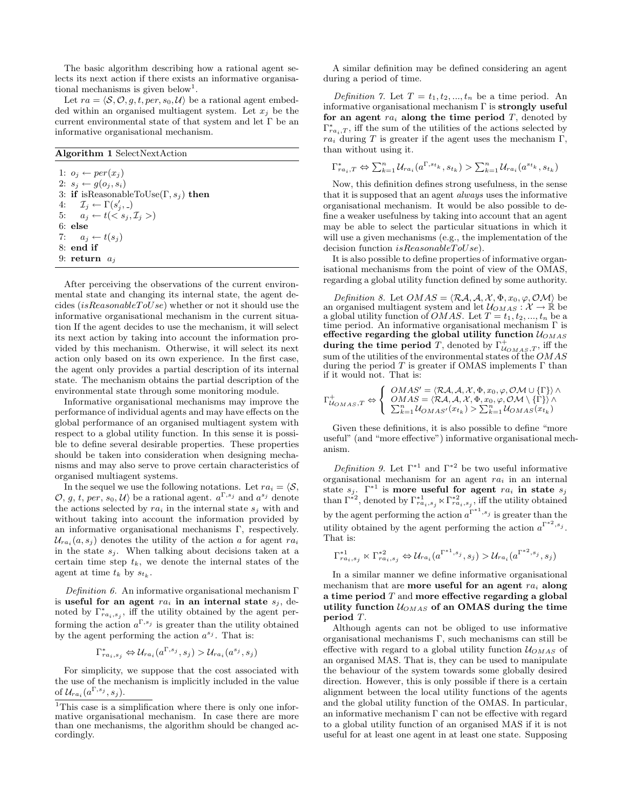The basic algorithm describing how a rational agent selects its next action if there exists an informative organisational mechanisms is given below<sup>1</sup>.

Let  $ra = \langle \mathcal{S}, \mathcal{O}, g, t, per, s_0, \mathcal{U} \rangle$  be a rational agent embedded within an organised multiagent system. Let  $x_j$  be the current environmental state of that system and let  $\Gamma$  be an informative organisational mechanism.

Algorithm 1 SelectNextAction

1:  $o_j \leftarrow per(x_j)$ 2:  $s_j \leftarrow g(o_j, s_i)$ 3: if isReasonableToUse( $\Gamma, s_i$ ) then 4:  $\mathcal{I}_j \leftarrow \Gamma(s'_j, \Delta)$ 5:  $a_j \leftarrow t \left( \langle s_j, \mathcal{I}_j \rangle \right)$ 6: else 7:  $a_j \leftarrow t(s_j)$ 8: end if 9: return  $a_i$ 

After perceiving the observations of the current environmental state and changing its internal state, the agent decides (isReasonableToUse) whether or not it should use the informative organisational mechanism in the current situation If the agent decides to use the mechanism, it will select its next action by taking into account the information provided by this mechanism. Otherwise, it will select its next action only based on its own experience. In the first case, the agent only provides a partial description of its internal state. The mechanism obtains the partial description of the environmental state through some monitoring module.

Informative organisational mechanisms may improve the performance of individual agents and may have effects on the global performance of an organised multiagent system with respect to a global utility function. In this sense it is possible to define several desirable properties. These properties should be taken into consideration when designing mechanisms and may also serve to prove certain characteristics of organised multiagent systems.

In the sequel we use the following notations. Let  $ra_i = \langle S,$  $\mathcal{O}, g, t, per, s_0, \mathcal{U}$  be a rational agent.  $a^{\Gamma, s_j}$  and  $a^{s_j}$  denote the actions selected by  $ra_i$  in the internal state  $s_i$  with and without taking into account the information provided by an informative organisational mechanisms Γ, respectively.  $\mathcal{U}_{ra_i}(a, s_j)$  denotes the utility of the action a for agent  $ra_i$ in the state  $s_j$ . When talking about decisions taken at a certain time step  $t_k$ , we denote the internal states of the agent at time  $t_k$  by  $s_{t_k}$ .

Definition 6. An informative organisational mechanism  $\Gamma$ is useful for an agent  $ra_i$  in an internal state  $s_j$ , denoted by  $\Gamma_{ra_i,s_j}^*$ , iff the utility obtained by the agent performing the action  $a^{\Gamma,s_j}$  is greater than the utility obtained by the agent performing the action  $a^{s_j}$ . That is:

$$
\Gamma_{ra_i,s_j}^* \Leftrightarrow \mathcal{U}_{ra_i}(a^{\Gamma,s_j},s_j) > \mathcal{U}_{ra_i}(a^{s_j},s_j)
$$

For simplicity, we suppose that the cost associated with the use of the mechanism is implicitly included in the value of  $\mathcal{U}_{ra_i}(a^{\Gamma,s_j},s_j)$ .

A similar definition may be defined considering an agent during a period of time.

Definition 7. Let  $T = t_1, t_2, ..., t_n$  be a time period. An informative organisational mechanism Γ is strongly useful for an agent  $ra_i$  along the time period  $T$ , denoted by  $\Gamma_{ra_i,T}^*$ , iff the sum of the utilities of the actions selected by  $ra_i$  during T is greater if the agent uses the mechanism  $\Gamma$ , than without using it.

 $\Gamma^*_{ra_i,T} \Leftrightarrow \sum_{k=1}^n \mathcal{U}_{ra_i}(a^{\Gamma, s_{t_k}}, s_{t_k}) > \sum_{k=1}^n \mathcal{U}_{ra_i}(a^{s_{t_k}}, s_{t_k})$ 

Now, this definition defines strong usefulness, in the sense that it is supposed that an agent always uses the informative organisational mechanism. It would be also possible to define a weaker usefulness by taking into account that an agent may be able to select the particular situations in which it will use a given mechanisms (e.g., the implementation of the decision function  $isReasonable ToUse$ ).

It is also possible to define properties of informative organisational mechanisms from the point of view of the OMAS, regarding a global utility function defined by some authority.

Definition 8. Let  $OMAS = \langle RA, A, X, \Phi, x_0, \varphi, \mathcal{OM} \rangle$  be an organised multiagent system and let  $\mathcal{U}_{OMAS} : \mathcal{X} \to \mathbb{R}$  be a global utility function of *OMAS*. Let  $T = t_1, t_2, ..., t_n$  be a time period. An informative organisational mechanism Γ is effective regarding the global utility function  $U_{OMAS}$ during the time period T, denoted by  $\Gamma^{\dagger}_{\mathcal{U}_{OMAS},T}$ , iff the sum of the utilities of the environmental states of the OMAS during the period T is greater if OMAS implements  $\Gamma$  than if it would not. That is:

$$
\Gamma^+_{\mathcal{U}_{OMAS},T} \Leftrightarrow \left\{ \begin{array}{l} OMAS' = \langle RA, \mathcal{A}, \mathcal{X}, \Phi, x_0, \varphi, \mathcal{OM} \cup \{\Gamma\} \rangle \wedge \\ OMAS = \langle RA, \mathcal{A}, \mathcal{X}, \Phi, x_0, \varphi, \mathcal{OM} \setminus \{\Gamma\} \rangle \wedge \\ \sum_{k=1}^n \mathcal{U}_{OMAS'}(x_{t_k}) > \sum_{k=1}^n \mathcal{U}_{OMAS}(x_{t_k}) \end{array} \right.
$$

Given these definitions, it is also possible to define "more useful" (and "more effective") informative organisational mechanism.

Definition 9. Let  $\Gamma^{*1}$  and  $\Gamma^{*2}$  be two useful informative organisational mechanism for an agent  $ra_i$  in an internal state  $s_j$ .  $\Gamma^{*1}$  is more useful for agent  $ra_i$  in state  $s_j$ than  $\Gamma^{*2}$ , denoted by  $\Gamma^{*1}_{ra_i,s_j} \ltimes \Gamma^{*2}_{ra_i,s_j}$ , iff the utility obtained by the agent performing the action  $a^{\Gamma^{*1},s_j}$  is greater than the utility obtained by the agent performing the action  $a^{\Gamma^{*2},s_j}$ . That is:

$$
\Gamma^{*1}_{ra_i,s_j}\ltimes \Gamma^{*2}_{ra_i,s_j}\Leftrightarrow \mathcal{U}_{ra_i}(a^{\Gamma^{*1},s_j},s_j)>\mathcal{U}_{ra_i}(a^{\Gamma^{*2},s_j},s_j)
$$

In a similar manner we define informative organisational mechanism that are **more useful for an agent**  $ra_i$  **along** a time period  $T$  and more effective regarding a global utility function  $U_{OMAS}$  of an OMAS during the time period T.

Although agents can not be obliged to use informative organisational mechanisms Γ, such mechanisms can still be effective with regard to a global utility function  $U_{OMAS}$  of an organised MAS. That is, they can be used to manipulate the behaviour of the system towards some globally desired direction. However, this is only possible if there is a certain alignment between the local utility functions of the agents and the global utility function of the OMAS. In particular, an informative mechanism  $\Gamma$  can not be effective with regard to a global utility function of an organised MAS if it is not useful for at least one agent in at least one state. Supposing

 $1$ This case is a simplification where there is only one informative organisational mechanism. In case there are more than one mechanisms, the algorithm should be changed accordingly.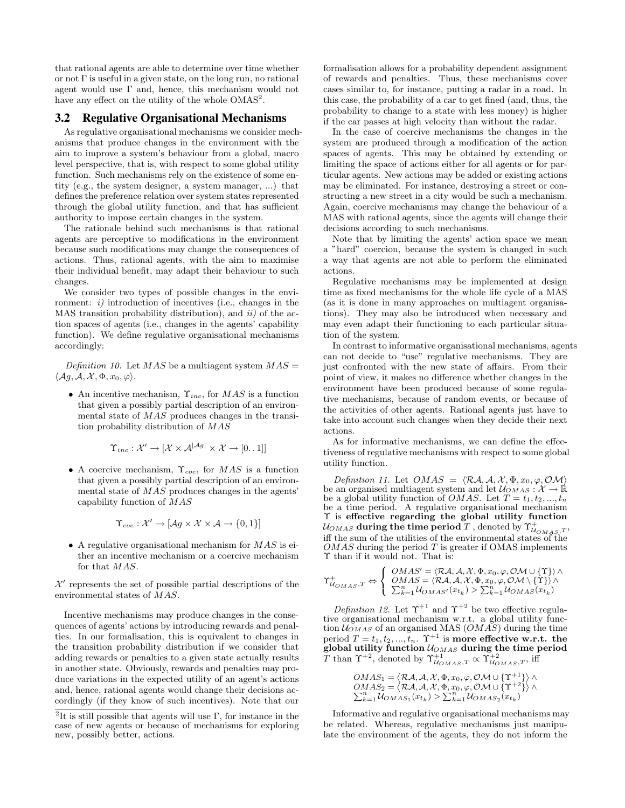that rational agents are able to determine over time whether or not Γ is useful in a given state, on the long run, no rational agent would use  $\Gamma$  and, hence, this mechanism would not have any effect on the utility of the whole  $OMAS<sup>2</sup>$ .

#### 3.2 Regulative Organisational Mechanisms

As regulative organisational mechanisms we consider mechanisms that produce changes in the environment with the aim to improve a system's behaviour from a global, macro level perspective, that is, with respect to some global utility function. Such mechanisms rely on the existence of some entity (e.g., the system designer, a system manager, ...) that defines the preference relation over system states represented through the global utility function, and that has sufficient authority to impose certain changes in the system.

The rationale behind such mechanisms is that rational agents are perceptive to modifications in the environment because such modifications may change the consequences of actions. Thus, rational agents, with the aim to maximise their individual benefit, may adapt their behaviour to such changes.

We consider two types of possible changes in the environment:  $i)$  introduction of incentives (i.e., changes in the MAS transition probability distribution), and  $ii$  of the action spaces of agents (i.e., changes in the agents' capability function). We define regulative organisational mechanisms accordingly:

Definition 10. Let  $MAS$  be a multiagent system  $MAS =$  $\langle \mathcal{A}, \mathcal{A}, \mathcal{X}, \Phi, x_0, \varphi \rangle$ .

• An incentive mechanism,  $\Upsilon_{inc}$ , for  $MAS$  is a function that given a possibly partial description of an environmental state of MAS produces changes in the transition probability distribution of MAS

$$
\Upsilon_{inc}: \mathcal{X}' \to [\mathcal{X} \times \mathcal{A}^{|\mathcal{A}g|} \times \mathcal{X} \to [0..1]]
$$

• A coercive mechanism,  $\Upsilon_{\text{coe}}$ , for  $MAS$  is a function that given a possibly partial description of an environmental state of MAS produces changes in the agents' capability function of MAS

$$
\Upsilon_{\text{coe}} : \mathcal{X}' \to [\mathcal{A}g \times \mathcal{X} \times \mathcal{A} \to \{0, 1\}]
$$

• A regulative organisational mechanism for  $MAS$  is either an incentive mechanism or a coercive mechanism for that MAS.

 $\mathcal{X}'$  represents the set of possible partial descriptions of the environmental states of MAS.

Incentive mechanisms may produce changes in the consequences of agents' actions by introducing rewards and penalties. In our formalisation, this is equivalent to changes in the transition probability distribution if we consider that adding rewards or penalties to a given state actually results in another state. Obviously, rewards and penalties may produce variations in the expected utility of an agent's actions and, hence, rational agents would change their decisions accordingly (if they know of such incentives). Note that our

formalisation allows for a probability dependent assignment of rewards and penalties. Thus, these mechanisms cover cases similar to, for instance, putting a radar in a road. In this case, the probability of a car to get fined (and, thus, the probability to change to a state with less money) is higher if the car passes at high velocity than without the radar.

In the case of coercive mechanisms the changes in the system are produced through a modification of the action spaces of agents. This may be obtained by extending or limiting the space of actions either for all agents or for particular agents. New actions may be added or existing actions may be eliminated. For instance, destroying a street or constructing a new street in a city would be such a mechanism. Again, coercive mechanisms may change the behaviour of a MAS with rational agents, since the agents will change their decisions according to such mechanisms.

Note that by limiting the agents' action space we mean a "hard" coercion, because the system is changed in such a way that agents are not able to perform the eliminated actions.

Regulative mechanisms may be implemented at design time as fixed mechanisms for the whole life cycle of a MAS (as it is done in many approaches on multiagent organisations). They may also be introduced when necessary and may even adapt their functioning to each particular situation of the system.

In contrast to informative organisational mechanisms, agents can not decide to "use" regulative mechanisms. They are just confronted with the new state of affairs. From their point of view, it makes no difference whether changes in the environment have been produced because of some regulative mechanisms, because of random events, or because of the activities of other agents. Rational agents just have to take into account such changes when they decide their next actions.

As for informative mechanisms, we can define the effectiveness of regulative mechanisms with respect to some global utility function.

Definition 11. Let  $OMAS = \langle RA, A, X, \Phi, x_0, \varphi, OM \rangle$ be an organised multiagent system and let  $\mathcal{U}_{OMAS} : \mathcal{X} \to \mathbb{R}$ be a global utility function of *OMAS*. Let  $T = t_1, t_2, ..., t_n$ be a time period. A regulative organisational mechanism Υ is effective regarding the global utility function  $\mathcal{U}_{OMAS}$  during the time period  $T$  , denoted by  $\Upsilon^+_{\mathcal{U}_{OMAS}, T},$ iff the sum of the utilities of the environmental states of the  $OMAS$  during the period  $T$  is greater if OMAS implements Υ than if it would not. That is:

$$
\Upsilon^+_{UOMAS,T} \Leftrightarrow \left\{ \begin{array}{l} OMAS' = \langle RA, A, X, \Phi, x_0, \varphi, \mathcal{OM} \cup \{\Upsilon\} \rangle \wedge \\ OMAS = \langle RA, A, X, \Phi, x_0, \varphi, \mathcal{OM} \setminus \{\Upsilon\} \rangle \wedge \\ \sum_{k=1}^n U_{OMAS'}(x_{t_k}) > \sum_{k=1}^n U_{OMAS}(x_{t_k}) \end{array} \right.
$$

Definition 12. Let  $\Upsilon^{+1}$  and  $\Upsilon^{+2}$  be two effective regulative organisational mechanism w.r.t. a global utility function  $\mathcal{U}_{OMAS}$  of an organised MAS ( $OMAS$ ) during the time period  $T = t_1, t_2, ..., t_n$ .  $\Upsilon^{+1}$  is more effective w.r.t. the global utility function  $\mathcal{U}_{OMAS}$  during the time period T than  $\Upsilon^{+2}$ , denoted by  $\Upsilon_{\mathcal{U}_{OMAS},T}^{+1} \propto \Upsilon_{\mathcal{U}_{OMAS},T}^{+2}$ , iff

$$
OMAS_1 = \langle R\mathcal{A}, \mathcal{A}, \mathcal{X}, \Phi, x_0, \varphi, \mathcal{OM} \cup \{ \Upsilon^{+1} \} \rangle \land OMAS_2 = \langle R\mathcal{A}, \mathcal{A}, \mathcal{X}, \Phi, x_0, \varphi, \mathcal{OM} \cup \{ \Upsilon^{+2} \} \rangle \land \sum_{k=1}^n \mathcal{U}_{OMAS_1}(x_{t_k}) > \sum_{k=1}^n \mathcal{U}_{OMAS_2}(x_{t_k})
$$

Informative and regulative organisational mechanisms may be related. Whereas, regulative mechanisms just manipulate the environment of the agents, they do not inform the

<sup>&</sup>lt;sup>2</sup>It is still possible that agents will use  $\Gamma$ , for instance in the case of new agents or because of mechanisms for exploring new, possibly better, actions.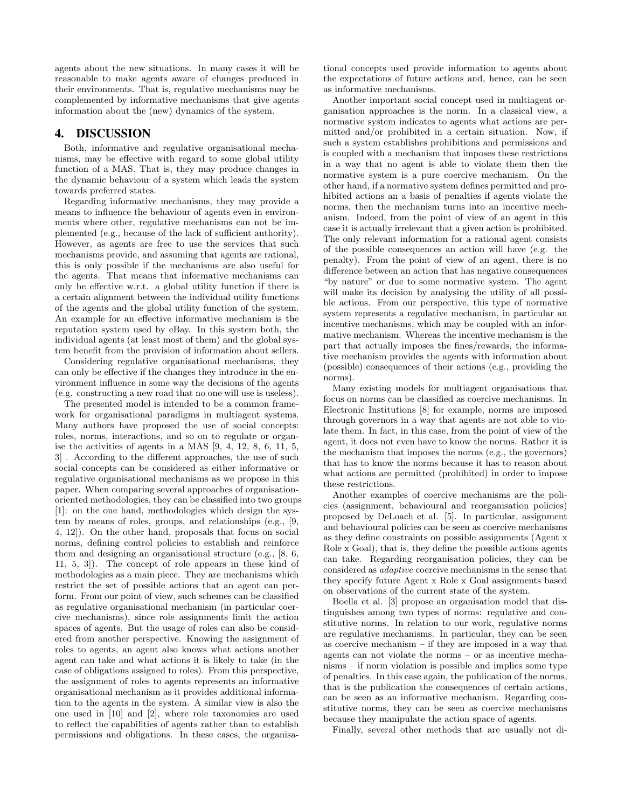agents about the new situations. In many cases it will be reasonable to make agents aware of changes produced in their environments. That is, regulative mechanisms may be complemented by informative mechanisms that give agents information about the (new) dynamics of the system.

### 4. DISCUSSION

Both, informative and regulative organisational mechanisms, may be effective with regard to some global utility function of a MAS. That is, they may produce changes in the dynamic behaviour of a system which leads the system towards preferred states.

Regarding informative mechanisms, they may provide a means to influence the behaviour of agents even in environments where other, regulative mechanisms can not be implemented (e.g., because of the lack of sufficient authority). However, as agents are free to use the services that such mechanisms provide, and assuming that agents are rational, this is only possible if the mechanisms are also useful for the agents. That means that informative mechanisms can only be effective w.r.t. a global utility function if there is a certain alignment between the individual utility functions of the agents and the global utility function of the system. An example for an effective informative mechanism is the reputation system used by eBay. In this system both, the individual agents (at least most of them) and the global system benefit from the provision of information about sellers.

Considering regulative organisational mechanisms, they can only be effective if the changes they introduce in the environment influence in some way the decisions of the agents (e.g. constructing a new road that no one will use is useless).

The presented model is intended to be a common framework for organisational paradigms in multiagent systems. Many authors have proposed the use of social concepts: roles, norms, interactions, and so on to regulate or organise the activities of agents in a MAS [9, 4, 12, 8, 6, 11, 5, 3] . According to the different approaches, the use of such social concepts can be considered as either informative or regulative organisational mechanisms as we propose in this paper. When comparing several approaches of organisationoriented methodologies, they can be classified into two groups [1]: on the one hand, methodologies which design the system by means of roles, groups, and relationships (e.g., [9, 4, 12]). On the other hand, proposals that focus on social norms, defining control policies to establish and reinforce them and designing an organisational structure (e.g., [8, 6, 11, 5, 3]). The concept of role appears in these kind of methodologies as a main piece. They are mechanisms which restrict the set of possible actions that an agent can perform. From our point of view, such schemes can be classified as regulative organisational mechanism (in particular coercive mechanisms), since role assignments limit the action spaces of agents. But the usage of roles can also be considered from another perspective. Knowing the assignment of roles to agents, an agent also knows what actions another agent can take and what actions it is likely to take (in the case of obligations assigned to roles). From this perspective, the assignment of roles to agents represents an informative organisational mechanism as it provides additional information to the agents in the system. A similar view is also the one used in [10] and [2], where role taxonomies are used to reflect the capabilities of agents rather than to establish permissions and obligations. In these cases, the organisational concepts used provide information to agents about the expectations of future actions and, hence, can be seen as informative mechanisms.

Another important social concept used in multiagent organisation approaches is the norm. In a classical view, a normative system indicates to agents what actions are permitted and/or prohibited in a certain situation. Now, if such a system establishes prohibitions and permissions and is coupled with a mechanism that imposes these restrictions in a way that no agent is able to violate them then the normative system is a pure coercive mechanism. On the other hand, if a normative system defines permitted and prohibited actions an a basis of penalties if agents violate the norms, then the mechanism turns into an incentive mechanism. Indeed, from the point of view of an agent in this case it is actually irrelevant that a given action is prohibited. The only relevant information for a rational agent consists of the possible consequences an action will have (e.g. the penalty). From the point of view of an agent, there is no difference between an action that has negative consequences "by nature" or due to some normative system. The agent will make its decision by analysing the utility of all possible actions. From our perspective, this type of normative system represents a regulative mechanism, in particular an incentive mechanisms, which may be coupled with an informative mechanism. Whereas the incentive mechanism is the part that actually imposes the fines/rewards, the informative mechanism provides the agents with information about (possible) consequences of their actions (e.g., providing the norms).

Many existing models for multiagent organisations that focus on norms can be classified as coercive mechanisms. In Electronic Institutions [8] for example, norms are imposed through governors in a way that agents are not able to violate them. In fact, in this case, from the point of view of the agent, it does not even have to know the norms. Rather it is the mechanism that imposes the norms (e.g., the governors) that has to know the norms because it has to reason about what actions are permitted (prohibited) in order to impose these restrictions.

Another examples of coercive mechanisms are the policies (assignment, behavioural and reorganisation policies) proposed by DeLoach et al. [5]. In particular, assignment and behavioural policies can be seen as coercive mechanisms as they define constraints on possible assignments (Agent x Role x Goal), that is, they define the possible actions agents can take. Regarding reorganisation policies, they can be considered as adaptive coercive mechanisms in the sense that they specify future Agent x Role x Goal assignments based on observations of the current state of the system.

Boella et al. [3] propose an organisation model that distinguishes among two types of norms: regulative and constitutive norms. In relation to our work, regulative norms are regulative mechanisms. In particular, they can be seen as coercive mechanism – if they are imposed in a way that agents can not violate the norms – or as incentive mechanisms – if norm violation is possible and implies some type of penalties. In this case again, the publication of the norms, that is the publication the consequences of certain actions, can be seen as an informative mechanism. Regarding constitutive norms, they can be seen as coercive mechanisms because they manipulate the action space of agents.

Finally, several other methods that are usually not di-